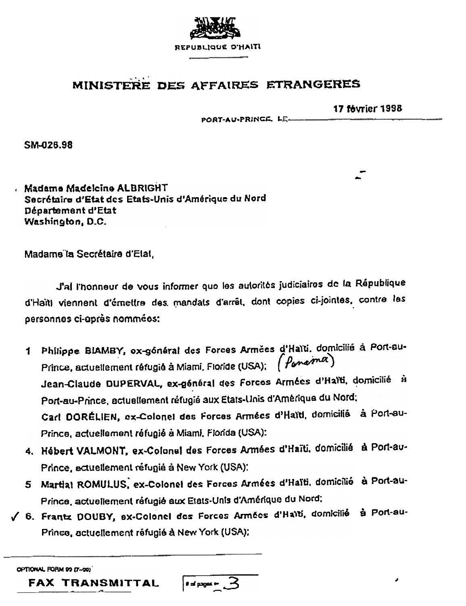

# MINISTERE DES AFFAIRES ETRANGERES

**17 février 1998** 

PORT-AU-PRINGS, LE.

SM-026.98

. Madama Madelcine ALBRIGHT Secrétaire d'Etat des Etats-Unis d'Amérique du Nord Département d'Etat Washington, D.C.

Madame la Secrétaire d'Etat,

J'al l'honneur de vous informer quo les autorités judiciaires de la République d'Haïti viennent d'émettre des mandats d'arrêt, dont copies ci-jointes, contre les personnes ci-après nommées:

- 1 Philippe BIAMBY, ox-gónáral des Forces Armées d'Haïti. domicilié à Port-au-Prince, actuellement réfugié à Miami, Floride (USA); (Ponoma) Jean-Claude DUPERVAL, ex-général des Forcos Armées d'Halti, domicilié à Port-au-Prince, actuellement réfugié aux Etats-Unis d'Amérique du Nord; Carl DORÉLIEN, ex-Colonel des Forces Armées d'Haïti, domicilié à Port-au-Prince, actuellement réfugié à Miami, Florida (USA):
- 4. Hébert VALMONT, ex-Colonel des Forces Armées d'Haïti, domicilié à Port-au-Prince, actuellement réfugié à New York (USA):
- 5 Martial ROMULUS, ex-Colonel des Forces Armées d'Haïti, domicilié à Port-au-Prince, actuellement réfugié aux Etats-Unis d'Amérique du Nord;
- √ 6. Frantz DOUBY, ex-Colonel des Forces Armées d'Haïti, domicilié à Port-au-Prince, actuellement réfugié à New York (USA):

OPTIONAL FORM 99 (7-90)

FAX TRANSMITTAL

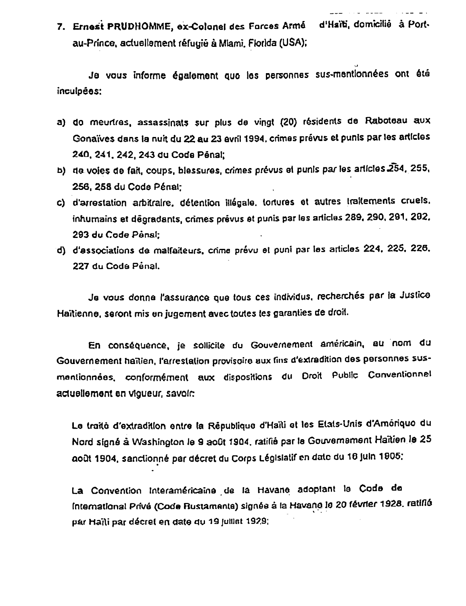Je vous informe également que les personnes sus-mentionnées ont été inculpées:

- a) do meurtres, assassinats sur plus de vingt (20) résidents de Raboteau aux Gonaïves dans la nuit du 22 au 23 avril 1994, crimes prévus et punis par les articles 240, 241, 242, 243 du Code Pénal:
- b) de voies de fait, coups, blessures, crimes prévus et punis par les articles 254, 255, 256, 258 du Code Pénal;
- c) d'arrestation arbitraire, détention illégale, tortures et autres traitements cruels, inhumains et degradants, crimes prévus et punis par les articles 289, 290, 291, 202, 293 du Code Pênal:
- d) d'associations de malfaiteurs, crime prévu et puni par les articles 224, 225, 226. 227 du Code Penal.

Je vous donne l'assurance que tous ces individus, recherchés par la Justice Haitienne, seront mis en jugement avec toutes les garanties de droit.

En conséquence, je sollicite du Gouvernement américain, au nom du Gouvernement haïtien, l'arrestation provisoire aux fins d'extradition des personnes susmentionnées, conformément aux dispositions du Droit Public Conventionnel actuellement en viqueur, savoir.

Le traité d'extradition entre la République d'Haïti et les Etats-Unis d'Amériquo du Nord signé à Washington le 9 août 1904, ratifié par le Gouvernement Haïtien le 25 août 1904, sanctionné par décret du Corps Législatif en date du 18 juin 1905:

La Convention Interaméricaine de la Havane adoptant le Code de International Privé (Code Rustamente) signée à la Havano le 20 février 1928, ratiflé par Haili par décret en date du 19 juillet 1929;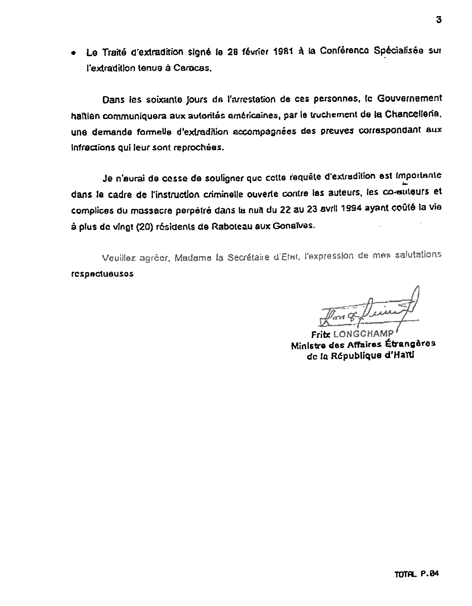· Le Traité d'extradition signé le 28 février 1981 à la Conférence Spécialisée sur l'extradition tenue à Caracas.

Dans les soixante jours de l'arrestation de ces personnes, le Gouvernement haitien communiquera aux autorités américaines, par le truchement de la Chancellene. une demande formelle d'extradition accompagnées des preuves correspondant aux Infractions qui leur sont reprochées.

Je n'aurai de cesse de souligner que cette requête d'extradition est Importante dans le cadre de l'instruction criminelle ouverte contre les auteurs, les co-muteurs et complices du massacre perpétré dans la nuit du 22 au 23 avril 1994 ayant coûté la vie à plus de vingt (20) résidents de Raboteau aux Gonaïves.

Veuillez agréer, Madame la Secrétaire d'Etat, l'expression de mes salutations respactuauses.

Fritz LONGCHAM Ministre des Affaires Étrangères de la République d'Haïti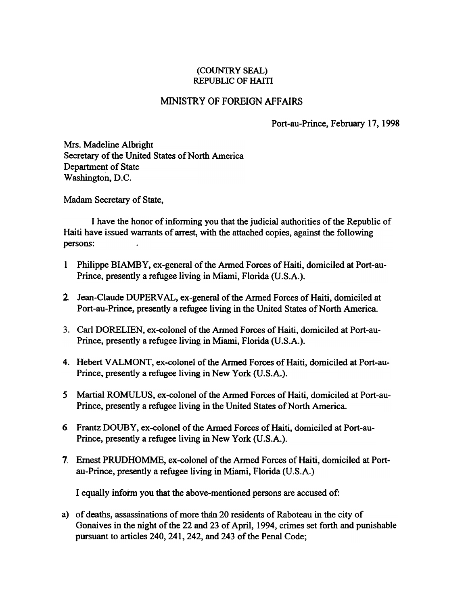### (COUNTRY SEAL) **REPUBLIC OF HAITI**

## MINISTRY OF FOREIGN AFFAIRS

Port-au-Prince, February 17, 1998

Mrs. Madeline Albright Secretary of the United States of North America Department of State Washington, D.C.

Madam Secretary of State,

I have the honor of infonning you that the judicial authorities of the Republic of Haiti have issued warrants of arrest, with the attached copies, against the following persons:

- 1 Philippe BIAMBY, ex-general of the Armed Forces of Haiti, domiciled at Port-au-Prince, presently a refugee living in Miami, Florida (U.S.A.).
- 2. Jean-Claude DUPERV AL, ex-general of the Armed Forces of Haiti, domiciled at Port-au-Prince, presently a refugee living in the United States of North America.
- 3. Carl DORELIEN, ex-colonel of the Armed Forces of Haiti, domiciled at Port-au-Prince, presently a refugee living in Miami, Florida (U.S.A.).
- 4. Hebert V ALMONT, ex-colonel of the Armed Forces of Haiti, domiciled at Port-au-Prince, presently a refugee living in New York (U.S.A.).
- 5 Martial ROMULUS, ex-colonel of the Armed Forces of Haiti, domiciled at Port-au-Prince, presently a refugee living in the United States of North America.
- 6. Frantz DOUBY, ex-colonel of the Armed Forces of Haiti, domiciled at Port-au-Prince, presently a refugee living in New York (U.S.A.).
- 7. Ernest PRUDHOMME, ex-colonel of the Armed Forces of Haiti, domiciled at Portau-Prince, presently a refugee living in Miami, Florida (U.S.A.)

I equally inform you that the above-mentioned persons are accused of:

a) of deaths, assassinations of more than 20 residents of Raboteau in the city of Gonaives in the night of the 22 and 23 of April, 1994, crimes set forth and punishable pursuant to articles 240, 241, 242, and 243 of the Penal Code;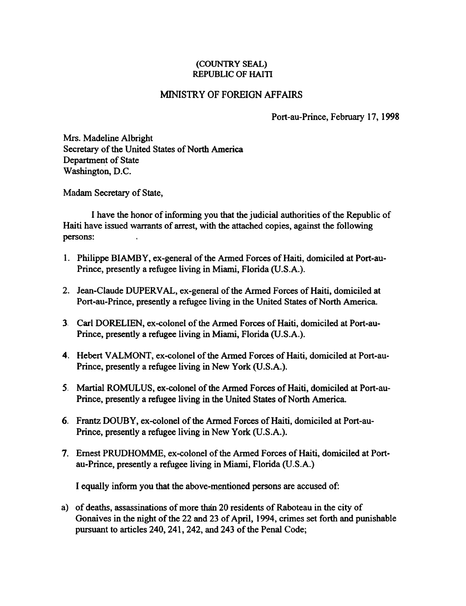### (COUNTRY SEAL) REPUBLIC OF HAITI

## MINISTRY OF FOREIGN AFFAIRS

Port-au-Prince, February 17, 1998

Mrs. Madeline Albright Secretary of the United States of North America Department of State Washington, D.C.

Madam Secretary of State,

I have the honor of infonning you that the judicial authorities of the Republic of Haiti have issued warrants of arrest, with the attached copies, against the following persons:

- 1. Philippe BIAMBY, ex-general of the Armed Forces of Haiti, domiciled at Port-au-Prince, presently a refugee living in Miami, Florida (U.S.A.).
- 2. Jean-Claude DUPERV AL, ex-general of the Armed Forces of Haiti, domiciled at Port-au-Prince, presently a refugee living in the United States of North America.
- ), Carl DORELIEN, ex-colonel of the Armed Forces of Haiti, domiciled at Port-au-Prince, presently a refugee living in Miami, Florida (U.S.A.).
- 4. Hebert VALMONT, ex-colonel of the Armed Forces of Haiti, domiciled at Port-au-Prince, presently a refugee living in New York (U.S.A.).
- 5. Martial ROMULUS, ex-colonel of the Armed Forces of Haiti, domiciled at Port-au-Prince, presently a refugee living in the United States of North America.
- 6. Frantz DOUBY, ex-colonel of the Armed Forces of Haiti, domiciled at Port-au-Prince, presently a refugee living in New York (U.S.A.).
- 7. Ernest PRUDHOMME. ex-colonel of the Armed Forces of Haiti. domiciled at Portau-Prince. presently a refugee living in Miami. Florida (U.S.A.)

I equally inform you that the above-mentioned persons are accused of:

a) of deaths, assassinations of more than 20 residents of Raboteau in the city of Gonaives in the night of the 22 and 23 of April, 1994, crimes set forth and punishable pursuant to articles 240, 241, 242, and 243 of the Penal Code;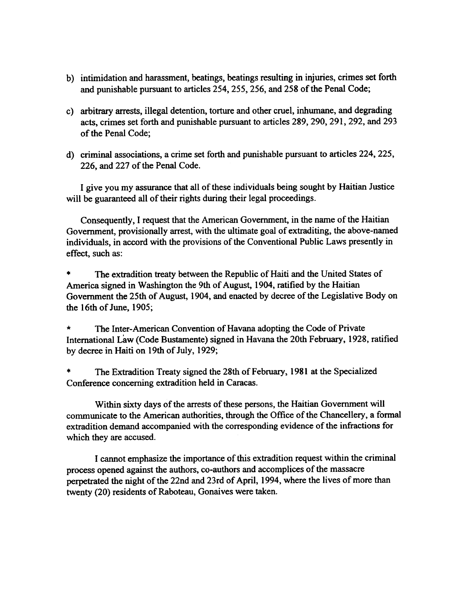- b) intimidation and harassment, beatings, beatings resulting in injuries, crimes set forth and punishable pursuant to articles 254, 255, 256, and 258 of the Penal Code;
- c) arbitrary arrests, illegal detention, torture and other cruel, inhumane, and degrading acts, crimes set forth and punishable pursuant to articles 289, 290, 291, 292, and 293 of the Penal Code;
- d) criminal associations, a crime set forth and punishable pursuant to articles 224, 225, 226, and 227 of the Penal Code.

I give you my assurance that all of these individuals being sought by Haitian Justice will be guaranteed all of their rights during their legal proceedings.

Consequently, I request that the American Government, in the name of the Haitian Government, provisionally arrest, with the ultimate goal of extraditing, the above-named individuals, in accord with the provisions of the Conventional Public Laws presently in effect, such as:

The extradition treaty between the Republic of Haiti and the United States of America signed in Washington the 9th of August, 1904, ratified by the Haitian Government the 25th of August, 1904, and enacted by decree of the Legislative Body on the 16th of June, 1905;

\* The Inter-American Convention of Havana adopting the Code of Private International Law (Code Bustamente) signed in Havana the 20th February, 1928, ratified by decree in Haiti on 19th of July, 1929;

The Extradition Treaty signed the 28th of February, 1981 at the Specialized Conference concerning extradition held in Caracas.

Within sixty days of the arrests of these persons. the Haitian Government will communicate to the American authorities. through the Office of the Chancellery. a fonnal extradition demand accompanied with the corresponding evidence of the infractions for which they are accused.

I cannot emphasize the importance of this extradition request within the criminal process opened against the authors, co-authors and accomplices of the massacre perpetrated the night of the 22nd and 23rd of April, 1994, where the lives of more than twenty (20) residents of Raboteau, Gonaives were taken.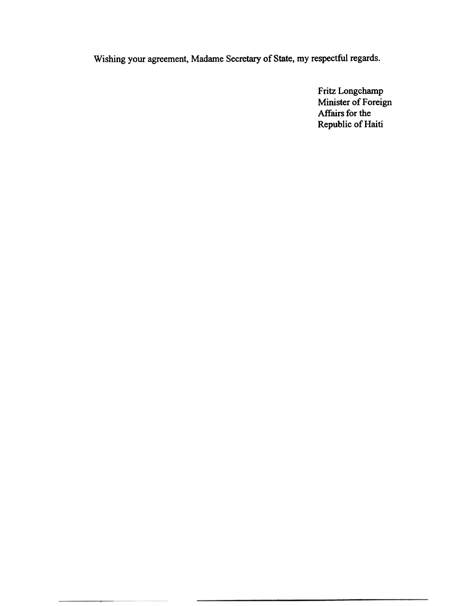Wishing your agreement, Madame Secretary of State, my respectful regards.

Fritz Longchamp Minister of Foreign Affairs for the Republic of Haiti